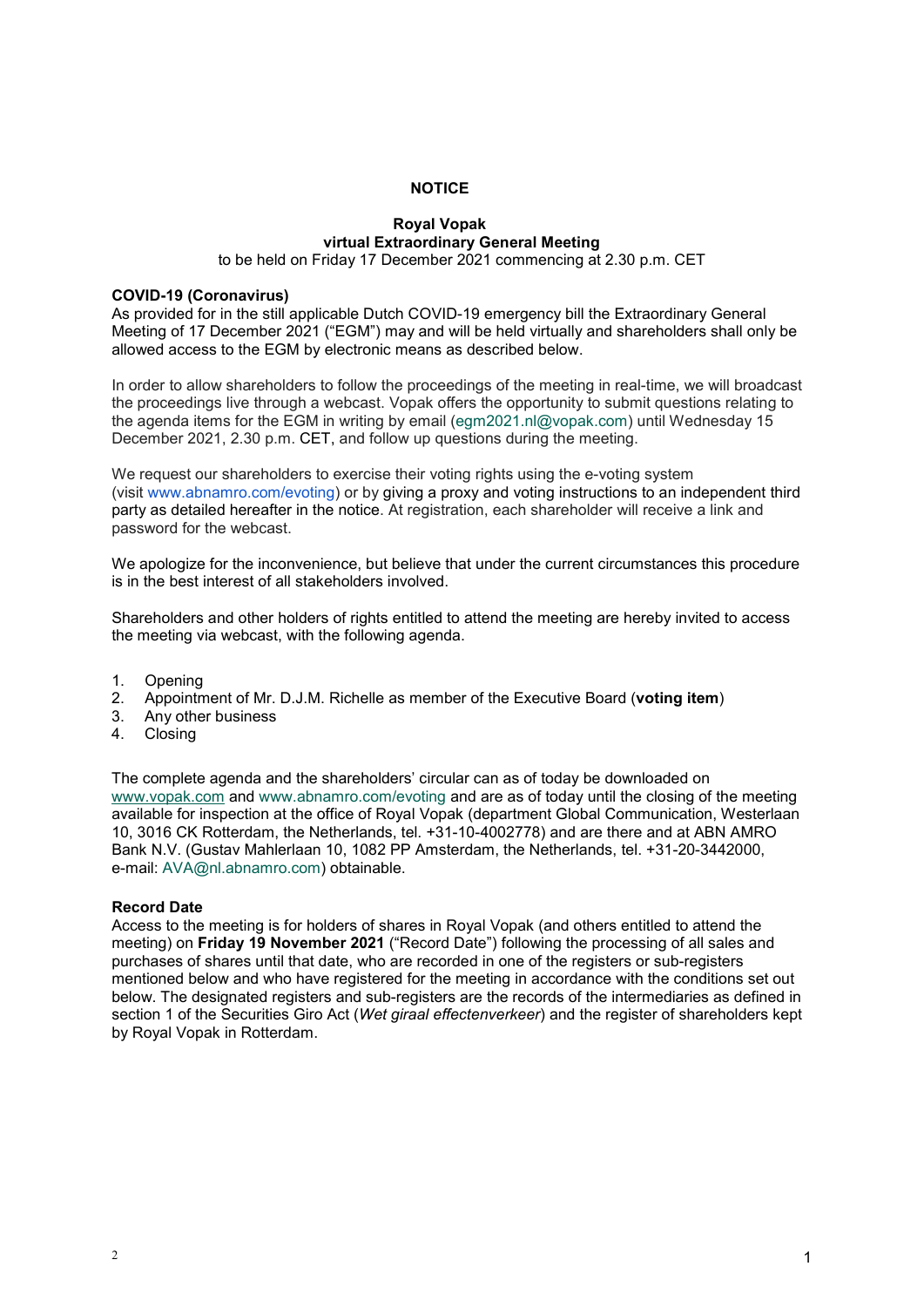# **NOTICE**

## **Royal Vopak virtual Extraordinary General Meeting** to be held on Friday 17 December 2021 commencing at 2.30 p.m. CET

#### **COVID-19 (Coronavirus)**

As provided for in the still applicable Dutch COVID-19 emergency bill the Extraordinary General Meeting of 17 December 2021 ("EGM") may and will be held virtually and shareholders shall only be allowed access to the EGM by electronic means as described below.

In order to allow shareholders to follow the proceedings of the meeting in real-time, we will broadcast the proceedings live through a webcast. Vopak offers the opportunity to submit questions relating to the agenda items for the EGM in writing by email [\(egm2021.nl@vopak.com\)](mailto:egm2021.nl@vopak.com) until Wednesday 15 December 2021, 2.30 p.m. CET, and follow up questions during the meeting.

We request our shareholders to exercise their voting rights using the e-voting system (visit [www.abnamro.com/evoting\)](https://www.globenewswire.com/Tracker?data=oLk3QYadsB11TOFLVDbLpKO311-HKNirSPXo2_mwqQ4HgpfJ5sCwnZZPjNQoAgeNfUPYTtsZy4YmnK5sMD8OmzM83Z1aGYyF37JMbTc3-bc=) or by giving a proxy and voting instructions to an independent third party as detailed hereafter in the notice. At registration, each shareholder will receive a link and password for the webcast.

We apologize for the inconvenience, but believe that under the current circumstances this procedure is in the best interest of all stakeholders involved.

Shareholders and other holders of rights entitled to attend the meeting are hereby invited to access the meeting via webcast, with the following agenda.

- 1. Opening
- 2. Appointment of Mr. D.J.M. Richelle as member of the Executive Board (**voting item**)
- 3. Any other business
- 4. Closing

The complete agenda and the shareholders' circular can as of today be downloaded on [www.vopak.com](http://www.vopak.com/) and [www.abnamro.com/evoting](http://www.abnamro.com/evoting) and are as of today until the closing of the meeting available for inspection at the office of Royal Vopak (department Global Communication, Westerlaan 10, 3016 CK Rotterdam, the Netherlands, tel. +31-10-4002778) and are there and at ABN AMRO Bank N.V. (Gustav Mahlerlaan 10, 1082 PP Amsterdam, the Netherlands, tel. +31-20-3442000, e-mail: [AVA@nl.abnamro.com\)](mailto:AVA@nl.abnamro.com) obtainable.

# **Record Date**

Access to the meeting is for holders of shares in Royal Vopak (and others entitled to attend the meeting) on **Friday 19 November 2021** ("Record Date") following the processing of all sales and purchases of shares until that date, who are recorded in one of the registers or sub-registers mentioned below and who have registered for the meeting in accordance with the conditions set out below. The designated registers and sub-registers are the records of the intermediaries as defined in section 1 of the Securities Giro Act (*Wet giraal effectenverkeer*) and the register of shareholders kept by Royal Vopak in Rotterdam.